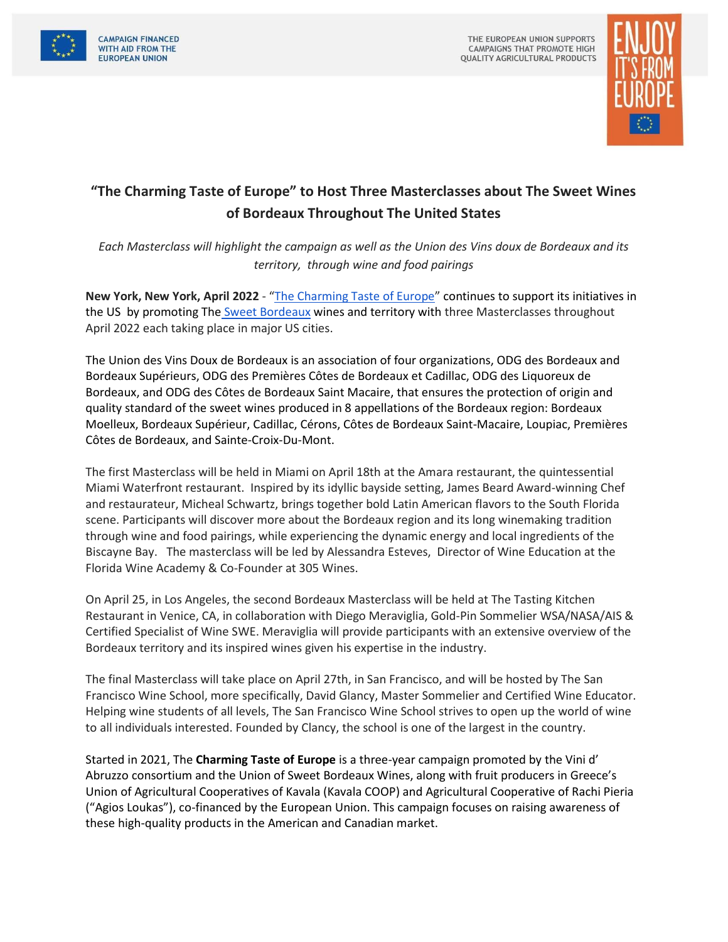



## **"The Charming Taste of Europe" to Host Three Masterclasses about The Sweet Wines of Bordeaux Throughout The United States**

*Each Masterclass will highlight the campaign as well as the Union des Vins doux de Bordeaux and its territory, through wine and food pairings*

**New York, New York, April 2022** - "[The Charming Taste of Europe](https://www.charmingtasteofeurope.eu/en/)" continues to support its initiatives in the US by promoting The [Sweet Bordeaux](https://www.sweetbordeaux.com/en) wines and territory with three Masterclasses throughout April 2022 each taking place in major US cities.

The Union des Vins Doux de Bordeaux is an association of four organizations, ODG des Bordeaux and Bordeaux Supérieurs, ODG des Premières Côtes de Bordeaux et Cadillac, ODG des Liquoreux de Bordeaux, and ODG des Côtes de Bordeaux Saint Macaire, that ensures the protection of origin and quality standard of the sweet wines produced in 8 appellations of the Bordeaux region: Bordeaux Moelleux, Bordeaux Supérieur, Cadillac, Cérons, Côtes de Bordeaux Saint-Macaire, Loupiac, Premières Côtes de Bordeaux, and Sainte-Croix-Du-Mont.

The first Masterclass will be held in Miami on April 18th at the Amara restaurant, the quintessential Miami Waterfront restaurant. Inspired by its idyllic bayside setting, James Beard Award-winning Chef and restaurateur, Micheal Schwartz, brings together bold Latin American flavors to the South Florida scene. Participants will discover more about the Bordeaux region and its long winemaking tradition through wine and food pairings, while experiencing the dynamic energy and local ingredients of the Biscayne Bay. The masterclass will be led by Alessandra Esteves, Director of Wine Education at the Florida Wine Academy & Co-Founder at 305 Wines.

On April 25, in Los Angeles, the second Bordeaux Masterclass will be held at The Tasting Kitchen Restaurant in Venice, CA, in collaboration with Diego Meraviglia, Gold-Pin Sommelier WSA/NASA/AIS & Certified Specialist of Wine SWE. Meraviglia will provide participants with an extensive overview of the Bordeaux territory and its inspired wines given his expertise in the industry.

The final Masterclass will take place on April 27th, in San Francisco, and will be hosted by The San Francisco Wine School, more specifically, David Glancy, Master Sommelier and Certified Wine Educator. Helping wine students of all levels, The San Francisco Wine School strives to open up the world of wine to all individuals interested. Founded by Clancy, the school is one of the largest in the country.

Started in 2021, The **Charming Taste of Europe** is a three-year campaign promoted by the Vini d' Abruzzo consortium and the Union of Sweet Bordeaux Wines, along with fruit producers in Greece's Union of Agricultural Cooperatives of Kavala (Kavala COOP) and Agricultural Cooperative of Rachi Pieria ("Agios Loukas"), co-financed by the European Union. This campaign focuses on raising awareness of these high-quality products in the American and Canadian market.